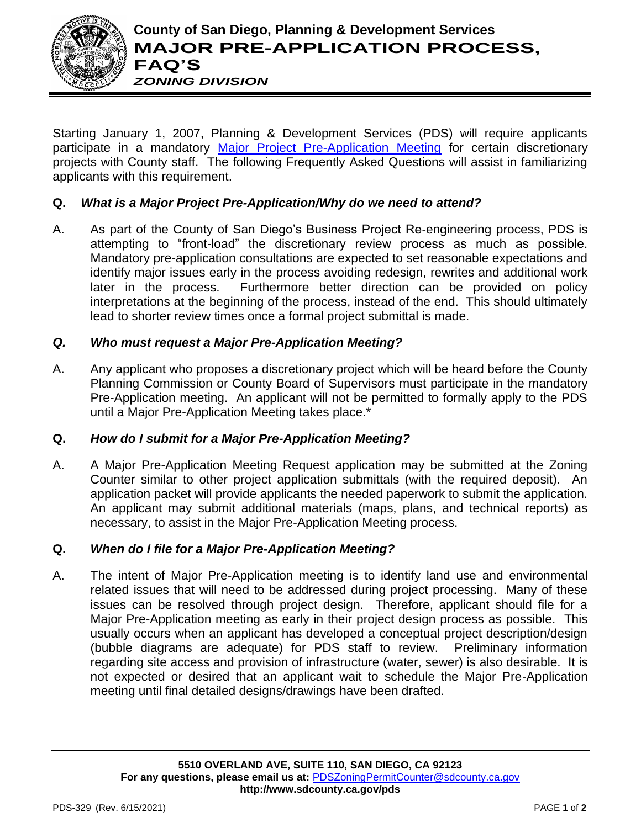

Starting January 1, 2007, Planning & Development Services (PDS) will require applicants participate in a mandatory [Major Project Pre-Application Meeting](http://www.sdcounty.ca.gov/pds/zoning/formfields/PDS-PLN-ESUB_Major_Project_Pre_App.pdf) for certain discretionary projects with County staff. The following Frequently Asked Questions will assist in familiarizing applicants with this requirement.

# **Q.** *What is a Major Project Pre-Application/Why do we need to attend?*

A. As part of the County of San Diego's Business Project Re-engineering process, PDS is attempting to "front-load" the discretionary review process as much as possible. Mandatory pre-application consultations are expected to set reasonable expectations and identify major issues early in the process avoiding redesign, rewrites and additional work later in the process. Furthermore better direction can be provided on policy interpretations at the beginning of the process, instead of the end. This should ultimately lead to shorter review times once a formal project submittal is made.

## *Q. Who must request a Major Pre-Application Meeting?*

A. Any applicant who proposes a discretionary project which will be heard before the County Planning Commission or County Board of Supervisors must participate in the mandatory Pre-Application meeting. An applicant will not be permitted to formally apply to the PDS until a Major Pre-Application Meeting takes place.\*

### **Q.** *How do I submit for a Major Pre-Application Meeting?*

A. A Major Pre-Application Meeting Request application may be submitted at the Zoning Counter similar to other project application submittals (with the required deposit). An application packet will provide applicants the needed paperwork to submit the application. An applicant may submit additional materials (maps, plans, and technical reports) as necessary, to assist in the Major Pre-Application Meeting process.

### **Q.** *When do I file for a Major Pre-Application Meeting?*

A. The intent of Major Pre-Application meeting is to identify land use and environmental related issues that will need to be addressed during project processing. Many of these issues can be resolved through project design. Therefore, applicant should file for a Major Pre-Application meeting as early in their project design process as possible. This usually occurs when an applicant has developed a conceptual project description/design (bubble diagrams are adequate) for PDS staff to review. Preliminary information regarding site access and provision of infrastructure (water, sewer) is also desirable. It is not expected or desired that an applicant wait to schedule the Major Pre-Application meeting until final detailed designs/drawings have been drafted.